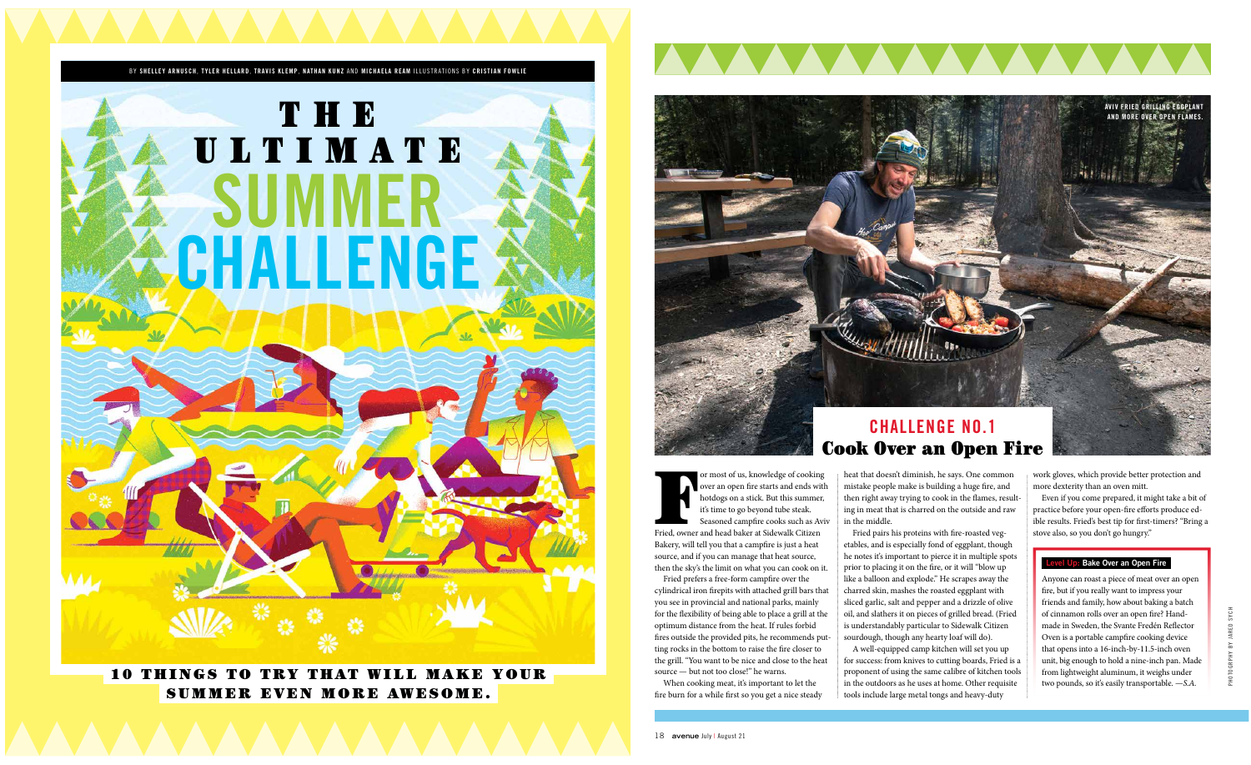## 10 THINGS TO TRY THAT WILL MAKE YOUR SUMMER EVEN MORE AWESOME.



# **SUMME CHALLENGE** THE ULTIMATE



For most of us, knowledge of cooking<br>
over an open fire starts and ends with<br>
hotdogs on a stick. But this summer,<br>
it's time to go beyond tube steak.<br>
Seasoned campfire cooks such as Avi<br>
Fried, owner and head baker at Si over an open fire starts and ends with hotdogs on a stick. But this summer, it's time to go beyond tube steak. Seasoned campfire cooks such as Aviv



Bakery, will tell you that a campfire is just a heat source, and if you can manage that heat source, then the sky's the limit on what you can cook on it.

Fried prefers a free-form campfire over the cylindrical iron firepits with attached grill bars that you see in provincial and national parks, mainly for the flexibility of being able to place a grill at the optimum distance from the heat. If rules forbid fires outside the provided pits, he recommends putting rocks in the bottom to raise the fire closer to the grill. "You want to be nice and close to the heat source — but not too close!" he warns.

When cooking meat, it's important to let the fire burn for a while first so you get a nice steady

heat that doesn't diminish, he says. One common mistake people make is building a huge fire, and then right away trying to cook in the flames, resulting in meat that is charred on the outside and raw in the middle. Fried pairs his proteins with fire-roasted vegetables, and is especially fond of eggplant, though he notes it's important to pierce it in multiple spots

prior to placing it on the fire, or it will "blow up like a balloon and explode." He scrapes away the charred skin, mashes the roasted eggplant with sliced garlic, salt and pepper and a drizzle of olive oil, and slathers it on pieces of grilled bread. (Fried is understandably particular to Sidewalk Citizen sourdough, though any hearty loaf will do). A well-equipped camp kitchen will set you up for success: from knives to cutting boards, Fried is a proponent of using the same calibre of kitchen tools

in the outdoors as he uses at home. Other requisite tools include large metal tongs and heavy-duty

work gloves, which provide better protection and more dexterity than an oven mitt.

Even if you come prepared, it might take a bit of practice before your open-fire efforts produce edible results. Fried's best tip for first-timers? "Bring a stove also, so you don't go hungry."

# **CHALLENGE NO.1** Cook Over an Open Fire

### **Level Up: Bake Over an Open Fire**

Anyone can roast a piece of meat over an open fire, but if you really want to impress your friends and family, how about baking a batch of cinnamon rolls over an open fire? Handmade in Sweden, the Svante Fredén Reflector Oven is a portable campfire cooking device that opens into a 16-inch-by-11.5-inch oven unit, big enough to hold a nine-inch pan. Made from lightweight aluminum, it weighs under two pounds, so it's easily transportable. —*S.A.*

**AVIV FRIED GRILLING EGGPLANT AND MORE OVER OPEN FLAMES.**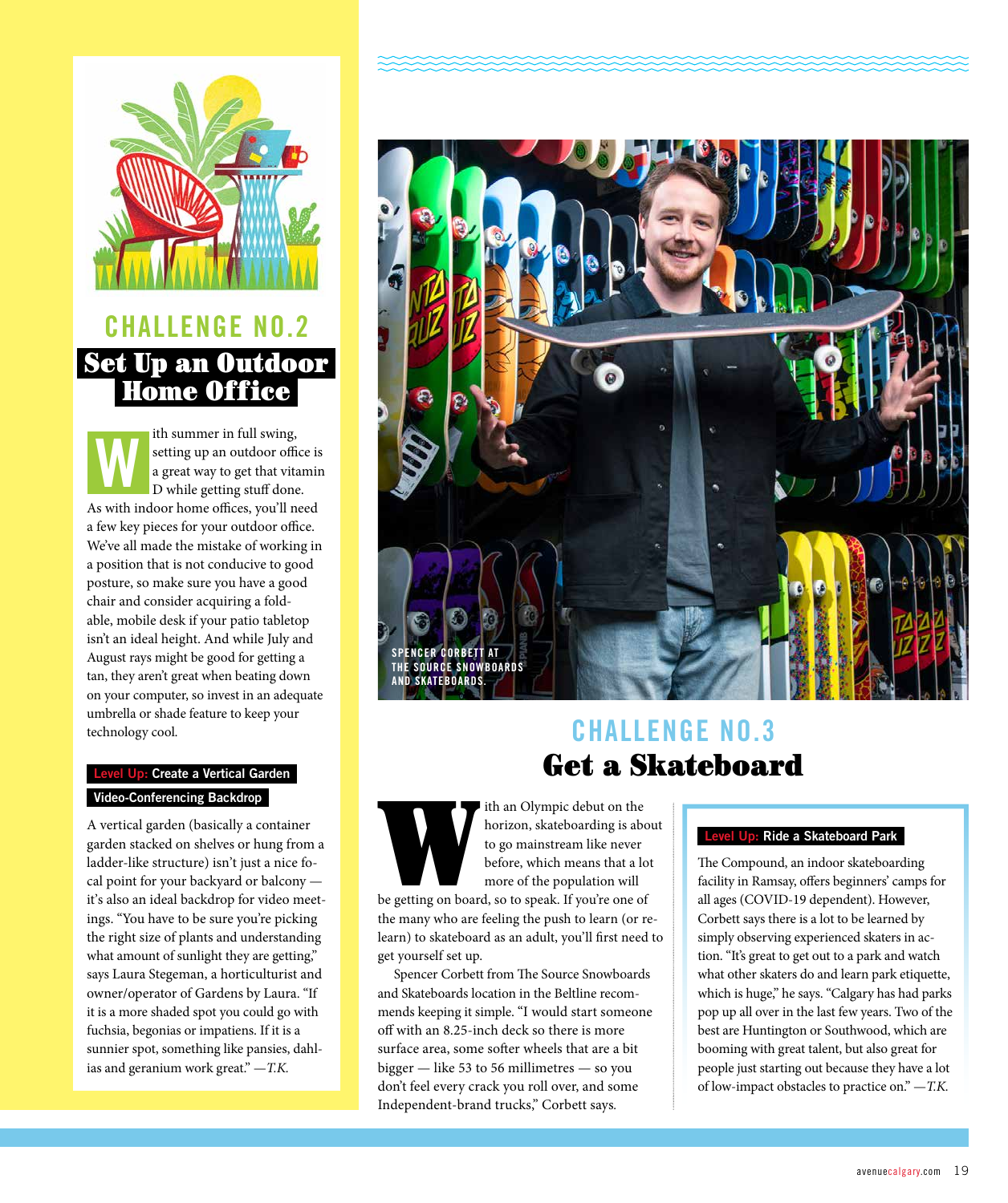

# **CHALLENGE NO.2** Set Up an Outdoor Home Office

ith summer in full swing, setting up an outdoor office is a great way to get that vitamin D while getting stuff done. As with indoor home offices, you'll need a few key pieces for your outdoor office. We've all made the mistake of working in a position that is not conducive to good posture, so make sure you have a good chair and consider acquiring a foldable, mobile desk if your patio tabletop isn't an ideal height. And while July and August rays might be good for getting a tan, they aren't great when beating down on your computer, so invest in an adequate umbrella or shade feature to keep your technology cool. **W**

### **Level Up: Create a Vertical Garden Video-Conferencing Backdrop**

A vertical garden (basically a container garden stacked on shelves or hung from a ladder-like structure) isn't just a nice focal point for your backyard or balcony it's also an ideal backdrop for video meetings. "You have to be sure you're picking the right size of plants and understanding what amount of sunlight they are getting," says Laura Stegeman, a horticulturist and owner/operator of Gardens by Laura. "If it is a more shaded spot you could go with fuchsia, begonias or impatiens. If it is a sunnier spot, something like pansies, dahlias and geranium work great." —*T.K.*



# **CHALLENGE NO.3** Get a Skateboard

ith an Olympic debut on the<br>
horizon, skateboarding is abo<br>
to go mainstream like never<br>
before, which means that a lot<br>
more of the population will<br>
be getting on board, so to speak. If you're one of horizon, skateboarding is about to go mainstream like never before, which means that a lot more of the population will the many who are feeling the push to learn (or relearn) to skateboard as an adult, you'll first need to

get yourself set up. Spencer Corbett from The Source Snowboards and Skateboards location in the Beltline recommends keeping it simple. "I would start someone off with an 8.25-inch deck so there is more surface area, some softer wheels that are a bit bigger — like 53 to 56 millimetres — so you don't feel every crack you roll over, and some Independent-brand trucks," Corbett says*.*

### **Level Up: Ride a Skateboard Park**

The Compound, an indoor skateboarding facility in Ramsay, offers beginners' camps for all ages (COVID-19 dependent). However, Corbett says there is a lot to be learned by simply observing experienced skaters in action. "It's great to get out to a park and watch what other skaters do and learn park etiquette, which is huge," he says. "Calgary has had parks pop up all over in the last few years. Two of the best are Huntington or Southwood, which are booming with great talent, but also great for people just starting out because they have a lot of low-impact obstacles to practice on." —*T.K.*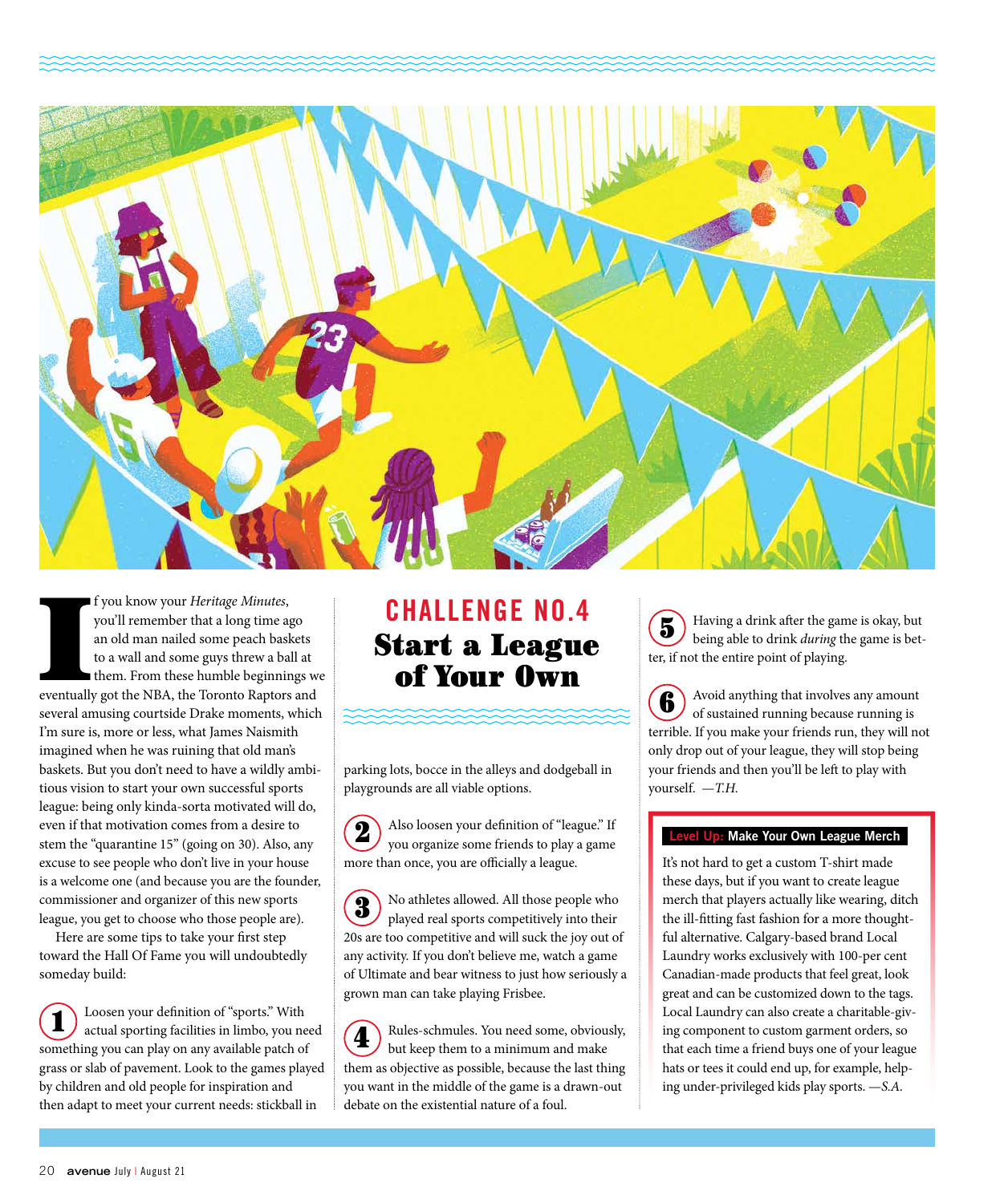

I f you know your *Heritage Minutes*, you'll remember that a long time ago an old man nailed some peach baskets to a wall and some guys threw a ball at them. From these humble beginnings weventually got the NBA, the Toront f you know your *Heritage Minutes*, you'll remember that a long time ago an old man nailed some peach baskets to a wall and some guys threw a ball at them. From these humble beginnings we several amusing courtside Drake moments, which I'm sure is, more or less, what James Naismith imagined when he was ruining that old man's baskets. But you don't need to have a wildly ambitious vision to start your own successful sports league: being only kinda-sorta motivated will do, even if that motivation comes from a desire to stem the "quarantine 15" (going on 30). Also, any excuse to see people who don't live in your house is a welcome one (and because you are the founder, commissioner and organizer of this new sports league, you get to choose who those people are).

Here are some tips to take your first step toward the Hall Of Fame you will undoubtedly someday build:

Loosen your definition of "sports." With actual sporting facilities in limbo, you need something you can play on any available patch of grass or slab of pavement. Look to the games played by children and old people for inspiration and then adapt to meet your current needs: stickball in 1

# **CHALLENGE NO.4** Start a League of Your Own

parking lots, bocce in the alleys and dodgeball in playgrounds are all viable options.

Also loosen your definition of "league." If you organize some friends to play a game more than once, you are officially a league. 2

No athletes allowed. All those people who played real sports competitively into their 20s are too competitive and will suck the joy out of any activity. If you don't believe me, watch a game of Ultimate and bear witness to just how seriously a grown man can take playing Frisbee. 3

Rules-schmules. You need some, obviously, but keep them to a minimum and make them as objective as possible, because the last thing you want in the middle of the game is a drawn-out debate on the existential nature of a foul. 4

Having a drink after the game is okay, but being able to drink *during* the game is better, if not the entire point of playing. 5

Avoid anything that involves any amount of sustained running because running is terrible. If you make your friends run, they will not only drop out of your league, they will stop being your friends and then you'll be left to play with yourself. —*T.H.* 6

### **Level Up: Make Your Own League Merch**

It's not hard to get a custom T-shirt made these days, but if you want to create league merch that players actually like wearing, ditch the ill-fitting fast fashion for a more thoughtful alternative. Calgary-based brand Local Laundry works exclusively with 100-per cent Canadian-made products that feel great, look great and can be customized down to the tags. Local Laundry can also create a charitable-giving component to custom garment orders, so that each time a friend buys one of your league hats or tees it could end up, for example, helping under-privileged kids play sports. —*S.A.*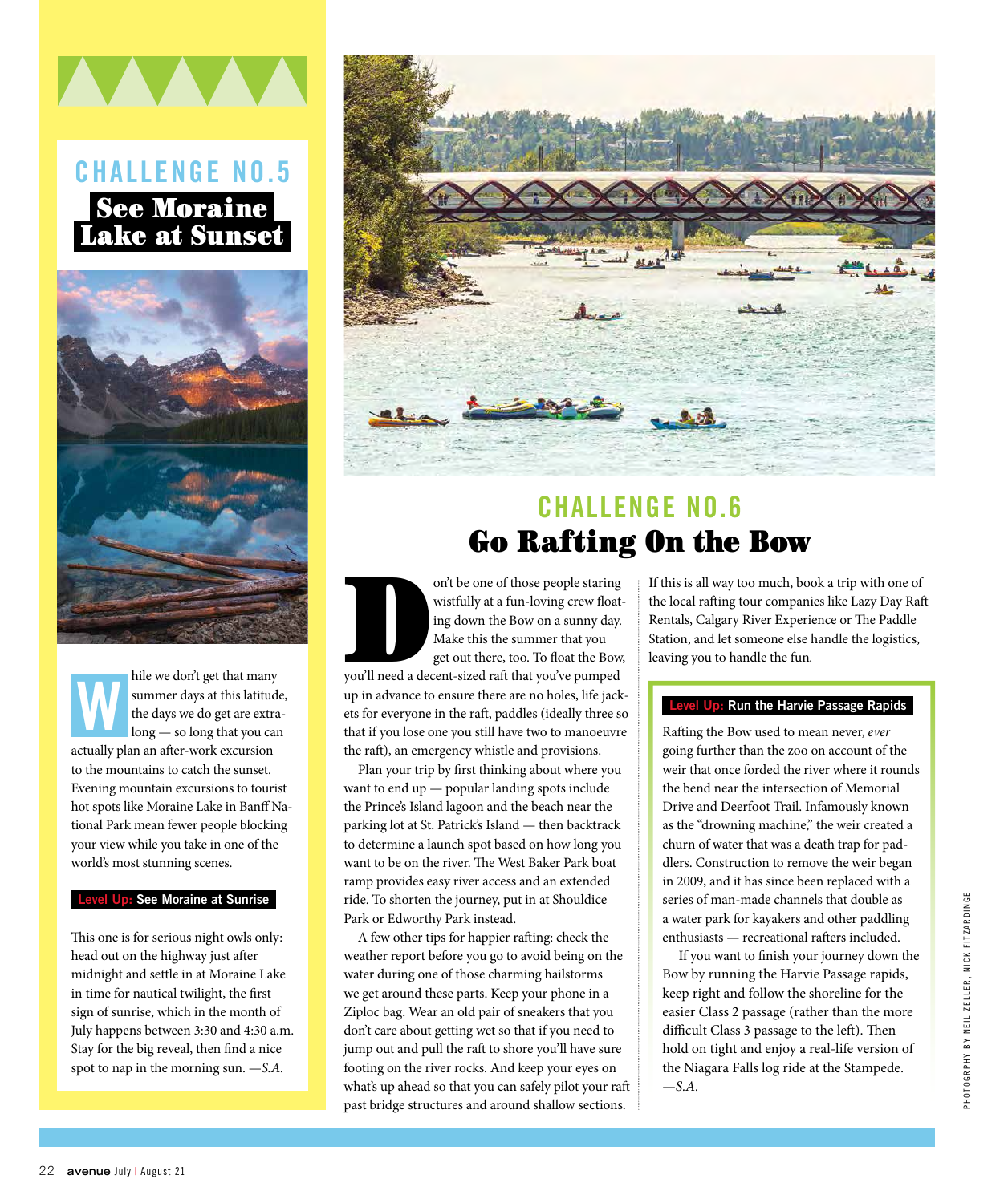# **CHALLENGE NO.5** See Moraine Lake at Sunset



hile we don't get that many summer days at this latitude, the days we do get are extralong — so long that you can actually plan an after-work excursion to the mountains to catch the sunset. Evening mountain excursions to tourist hot spots like Moraine Lake in Banff National Park mean fewer people blocking your view while you take in one of the world's most stunning scenes. **W**

### **Level Up: See Moraine at Sunrise**

This one is for serious night owls only: head out on the highway just after midnight and settle in at Moraine Lake in time for nautical twilight, the first sign of sunrise, which in the month of July happens between 3:30 and 4:30 a.m. Stay for the big reveal, then find a nice spot to nap in the morning sun. —*S.A.*



# **CHALLENGE NO.6** Go Rafting On the Bow

on't be one of those people staring<br>
wistfully at a fun-loving crew float-<br>
ing down the Bow on a sunny day.<br>
Make this the summer that you<br>
get out there, too. To float the Bow,<br>
you'll need a decent-sized raft that you'v wistfully at a fun-loving crew floating down the Bow on a sunny day. Make this the summer that you get out there, too. To float the Bow, up in advance to ensure there are no holes, life jackets for everyone in the raft, paddles (ideally three so that if you lose one you still have two to manoeuvre the raft), an emergency whistle and provisions.

Plan your trip by first thinking about where you want to end up — popular landing spots include the Prince's Island lagoon and the beach near the parking lot at St. Patrick's Island — then backtrack to determine a launch spot based on how long you want to be on the river. The West Baker Park boat ramp provides easy river access and an extended ride. To shorten the journey, put in at Shouldice Park or Edworthy Park instead.

A few other tips for happier rafting: check the weather report before you go to avoid being on the water during one of those charming hailstorms we get around these parts. Keep your phone in a Ziploc bag. Wear an old pair of sneakers that you don't care about getting wet so that if you need to jump out and pull the raft to shore you'll have sure footing on the river rocks. And keep your eyes on what's up ahead so that you can safely pilot your raft past bridge structures and around shallow sections.

If this is all way too much, book a trip with one of the local rafting tour companies like Lazy Day Raft Rentals, Calgary River Experience or The Paddle Station, and let someone else handle the logistics, leaving you to handle the fun*.*

### **Level Up: Run the Harvie Passage Rapids**

Rafting the Bow used to mean never, *ever* going further than the zoo on account of the weir that once forded the river where it rounds the bend near the intersection of Memorial Drive and Deerfoot Trail. Infamously known as the "drowning machine," the weir created a churn of water that was a death trap for paddlers. Construction to remove the weir began in 2009, and it has since been replaced with a series of man-made channels that double as a water park for kayakers and other paddling enthusiasts — recreational rafters included.

If you want to finish your journey down the Bow by running the Harvie Passage rapids, keep right and follow the shoreline for the easier Class 2 passage (rather than the more difficult Class 3 passage to the left). Then hold on tight and enjoy a real-life version of the Niagara Falls log ride at the Stampede. —*S.A.*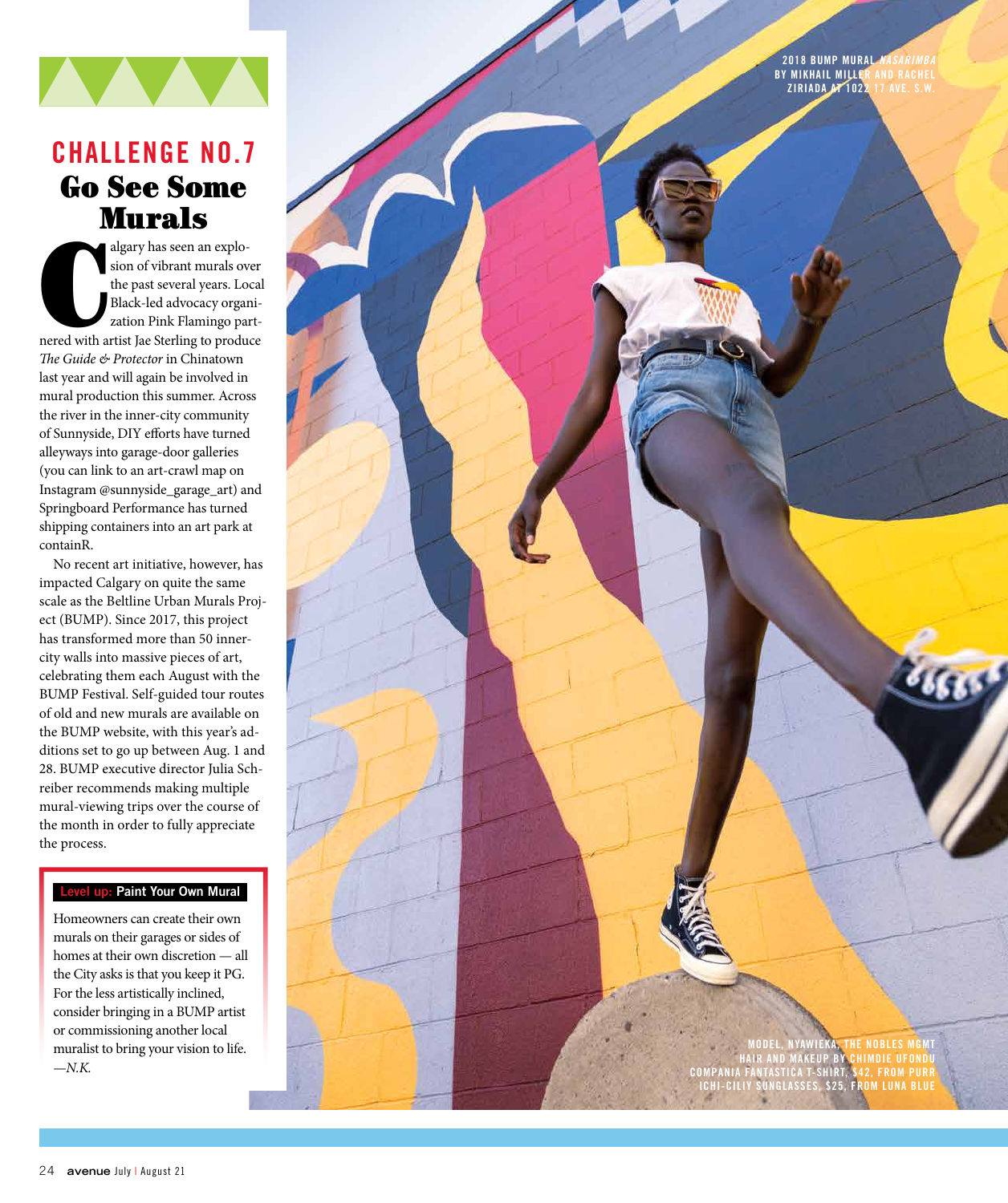

# **CHALLENGE NO.7** Go See Some Murals

algary has seen an explosion of vibrant murals over<br>the past several years. Local<br>Black-led advocacy organization Pink Flamingo part-<br>nered with artist Jae Sterling to produce algary has seen an explo sion of vibrant murals over the past several years. Local Black-led advocacy organi zation Pink Flamingo part - *The Guide & Protector* in Chinatown last year and will again be involved in mural production this summer. Across the river in the inner-city community of Sunnyside, DIY efforts have turned alleyways into garage-door galleries (you can link to an art-crawl map on Instagram @sunnyside\_garage\_art) and Springboard Performance has turned shipping containers into an art park at containR.

No recent art initiative, however, has impacted Calgary on quite the same scale as the Beltline Urban Murals Project (BUMP). Since 2017, this project has transformed more than 50 innercity walls into massive pieces of art, celebrating them each August with the BUMP Festival. Self-guided tour routes of old and new murals are available on the BUMP website, with this year's additions set to go up between Aug. 1 and 28. BUMP executive director Julia Schreiber recommends making multiple mural-viewing trips over the course of the month in order to fully appreciate the process.

### **Level up: Paint Your Own Mural**

Homeowners can create their own murals on their garages or sides of homes at their own discretion — all the City asks is that you keep it PG. For the less artistically inclined, consider bringing in a BUMP artist or commissioning another local muralist to bring your vision to life. —*N.K.*

**2018 BUMP MURAL BY MIKHAIL MILLER AND RACHEL ZIRIADA AT 1022 17 AVE. S.W.**

**MODEL, NYAWIEKA, THE NOBLES MGMT HAIR AND MAKEUP BY CHIMDIE UFONDU COMPANIA FANTASTICA T-SHIRT, \$42, FROM PURR ICHI-CILIY SUNGLASSES, \$25, FROM LUNA BLUE**

 $6665$